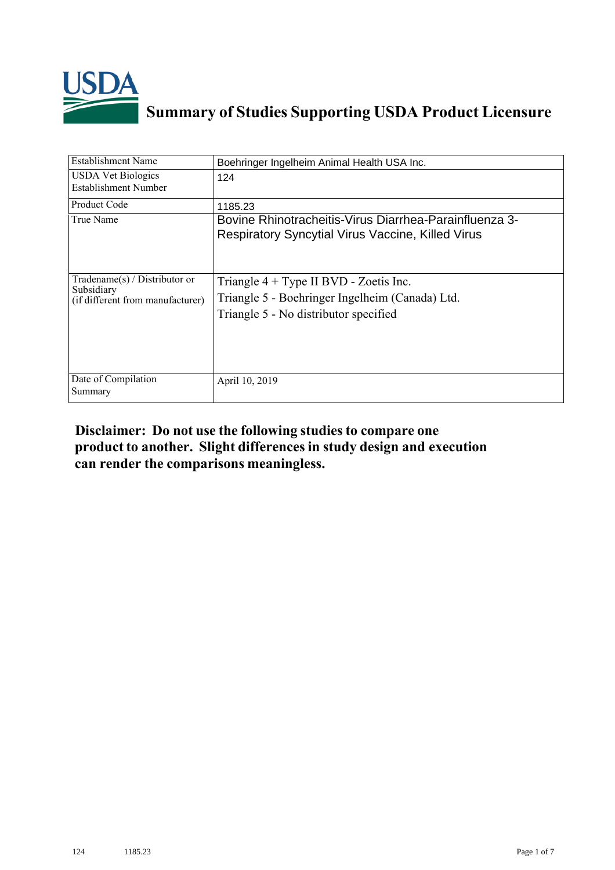

## **Summary of Studies Supporting USDA Product Licensure**

| Establishment Name                                                                 | Boehringer Ingelheim Animal Health USA Inc.                                                                                          |
|------------------------------------------------------------------------------------|--------------------------------------------------------------------------------------------------------------------------------------|
| <b>USDA Vet Biologics</b><br>Establishment Number                                  | 124                                                                                                                                  |
| Product Code                                                                       | 1185.23                                                                                                                              |
| True Name                                                                          | Bovine Rhinotracheitis-Virus Diarrhea-Parainfluenza 3-<br><b>Respiratory Syncytial Virus Vaccine, Killed Virus</b>                   |
| Tradename $(s)$ / Distributor or<br>Subsidiary<br>(if different from manufacturer) | Triangle $4 + Type II BVD - Zoetis Inc.$<br>Triangle 5 - Boehringer Ingelheim (Canada) Ltd.<br>Triangle 5 - No distributor specified |
| Date of Compilation<br>Summary                                                     | April 10, 2019                                                                                                                       |

## **Disclaimer: Do not use the following studiesto compare one product to another. Slight differencesin study design and execution can render the comparisons meaningless.**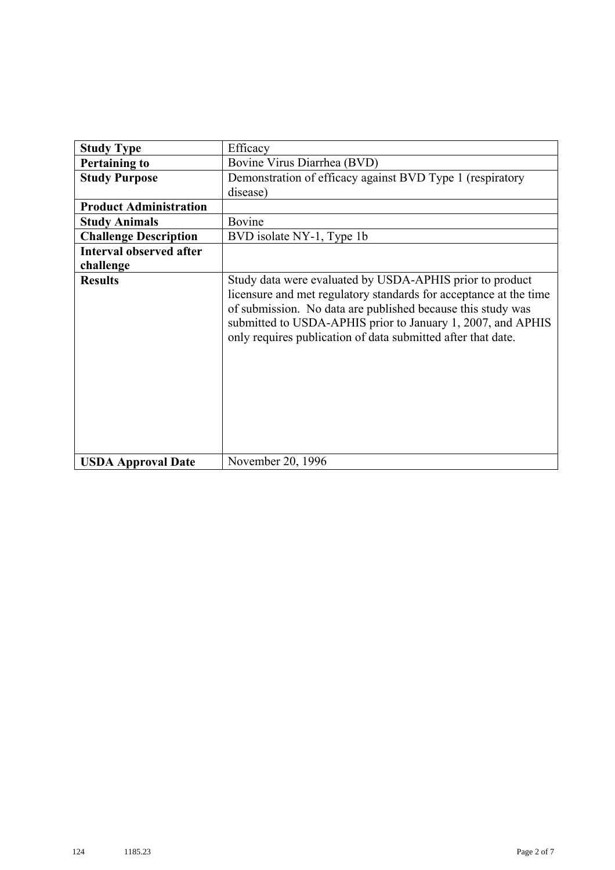| <b>Study Type</b>              | Efficacy                                                                                                                                                                                                                                                                                                                    |
|--------------------------------|-----------------------------------------------------------------------------------------------------------------------------------------------------------------------------------------------------------------------------------------------------------------------------------------------------------------------------|
| <b>Pertaining to</b>           | Bovine Virus Diarrhea (BVD)                                                                                                                                                                                                                                                                                                 |
| <b>Study Purpose</b>           | Demonstration of efficacy against BVD Type 1 (respiratory                                                                                                                                                                                                                                                                   |
|                                | disease)                                                                                                                                                                                                                                                                                                                    |
| <b>Product Administration</b>  |                                                                                                                                                                                                                                                                                                                             |
| <b>Study Animals</b>           | Bovine                                                                                                                                                                                                                                                                                                                      |
| <b>Challenge Description</b>   | BVD isolate NY-1, Type 1b                                                                                                                                                                                                                                                                                                   |
| <b>Interval observed after</b> |                                                                                                                                                                                                                                                                                                                             |
| challenge                      |                                                                                                                                                                                                                                                                                                                             |
| <b>Results</b>                 | Study data were evaluated by USDA-APHIS prior to product<br>licensure and met regulatory standards for acceptance at the time<br>of submission. No data are published because this study was<br>submitted to USDA-APHIS prior to January 1, 2007, and APHIS<br>only requires publication of data submitted after that date. |
| <b>USDA Approval Date</b>      | November 20, 1996                                                                                                                                                                                                                                                                                                           |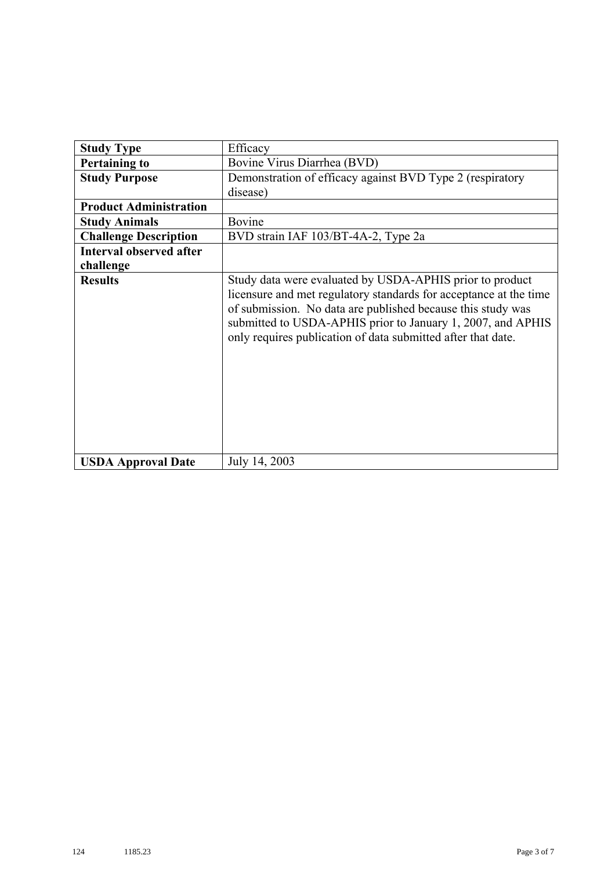| <b>Study Type</b>              | Efficacy                                                                                                                                                                                                                                                                                                                    |
|--------------------------------|-----------------------------------------------------------------------------------------------------------------------------------------------------------------------------------------------------------------------------------------------------------------------------------------------------------------------------|
| <b>Pertaining to</b>           | Bovine Virus Diarrhea (BVD)                                                                                                                                                                                                                                                                                                 |
| <b>Study Purpose</b>           | Demonstration of efficacy against BVD Type 2 (respiratory                                                                                                                                                                                                                                                                   |
|                                | disease)                                                                                                                                                                                                                                                                                                                    |
| <b>Product Administration</b>  |                                                                                                                                                                                                                                                                                                                             |
| <b>Study Animals</b>           | Bovine                                                                                                                                                                                                                                                                                                                      |
| <b>Challenge Description</b>   | BVD strain IAF 103/BT-4A-2, Type 2a                                                                                                                                                                                                                                                                                         |
| <b>Interval observed after</b> |                                                                                                                                                                                                                                                                                                                             |
| challenge                      |                                                                                                                                                                                                                                                                                                                             |
| <b>Results</b>                 | Study data were evaluated by USDA-APHIS prior to product<br>licensure and met regulatory standards for acceptance at the time<br>of submission. No data are published because this study was<br>submitted to USDA-APHIS prior to January 1, 2007, and APHIS<br>only requires publication of data submitted after that date. |
| <b>USDA Approval Date</b>      | July 14, 2003                                                                                                                                                                                                                                                                                                               |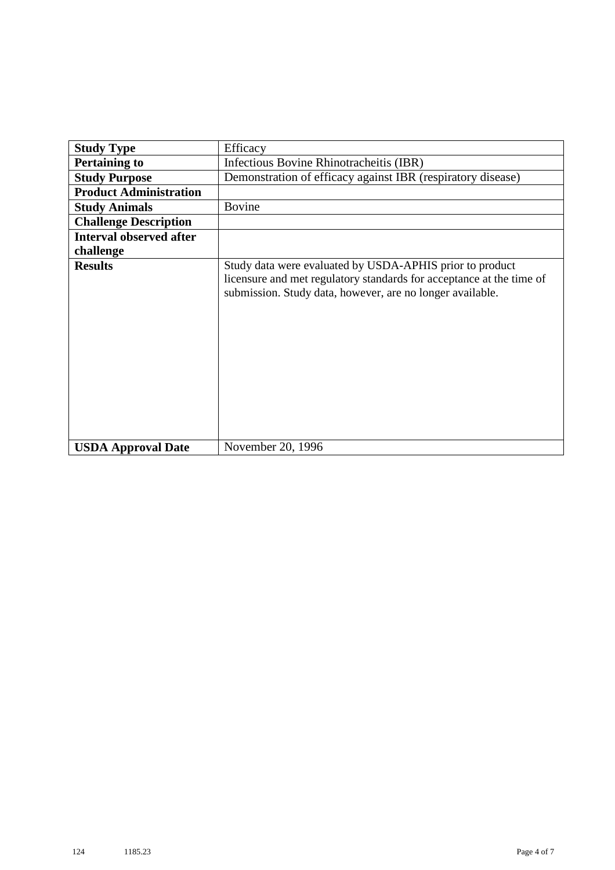| <b>Study Type</b>              | Efficacy                                                                                                                                                                                      |
|--------------------------------|-----------------------------------------------------------------------------------------------------------------------------------------------------------------------------------------------|
| <b>Pertaining to</b>           | Infectious Bovine Rhinotracheitis (IBR)                                                                                                                                                       |
| <b>Study Purpose</b>           | Demonstration of efficacy against IBR (respiratory disease)                                                                                                                                   |
| <b>Product Administration</b>  |                                                                                                                                                                                               |
| <b>Study Animals</b>           | Bovine                                                                                                                                                                                        |
| <b>Challenge Description</b>   |                                                                                                                                                                                               |
| <b>Interval observed after</b> |                                                                                                                                                                                               |
| challenge                      |                                                                                                                                                                                               |
| <b>Results</b>                 | Study data were evaluated by USDA-APHIS prior to product<br>licensure and met regulatory standards for acceptance at the time of<br>submission. Study data, however, are no longer available. |
| <b>USDA Approval Date</b>      | November 20, 1996                                                                                                                                                                             |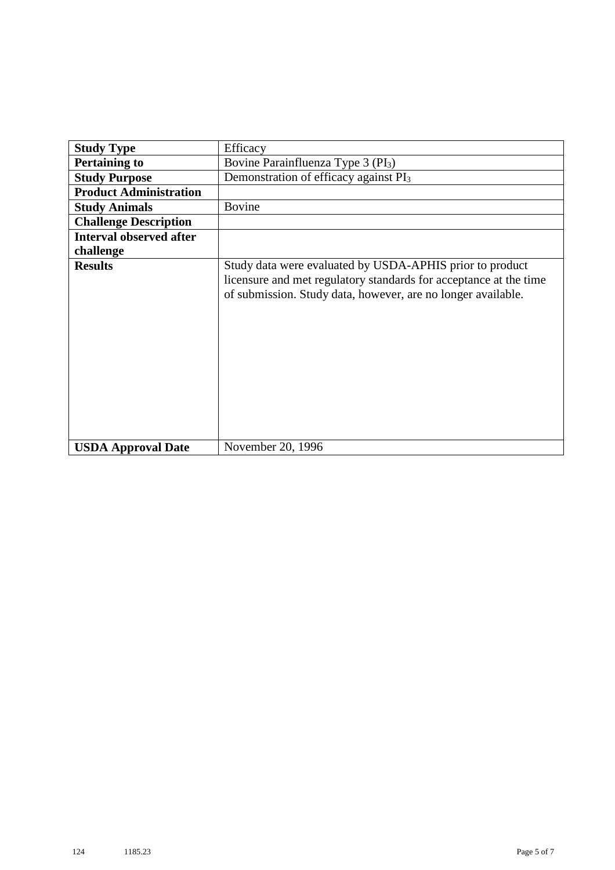| <b>Study Type</b>              | Efficacy                                                                                                                                                                                      |
|--------------------------------|-----------------------------------------------------------------------------------------------------------------------------------------------------------------------------------------------|
| <b>Pertaining to</b>           | Bovine Parainfluenza Type 3 (PI <sub>3</sub> )                                                                                                                                                |
| <b>Study Purpose</b>           | Demonstration of efficacy against PI <sub>3</sub>                                                                                                                                             |
| <b>Product Administration</b>  |                                                                                                                                                                                               |
| <b>Study Animals</b>           | <b>Bovine</b>                                                                                                                                                                                 |
| <b>Challenge Description</b>   |                                                                                                                                                                                               |
| <b>Interval observed after</b> |                                                                                                                                                                                               |
| challenge                      |                                                                                                                                                                                               |
| <b>Results</b>                 | Study data were evaluated by USDA-APHIS prior to product<br>licensure and met regulatory standards for acceptance at the time<br>of submission. Study data, however, are no longer available. |
| <b>USDA Approval Date</b>      | November 20, 1996                                                                                                                                                                             |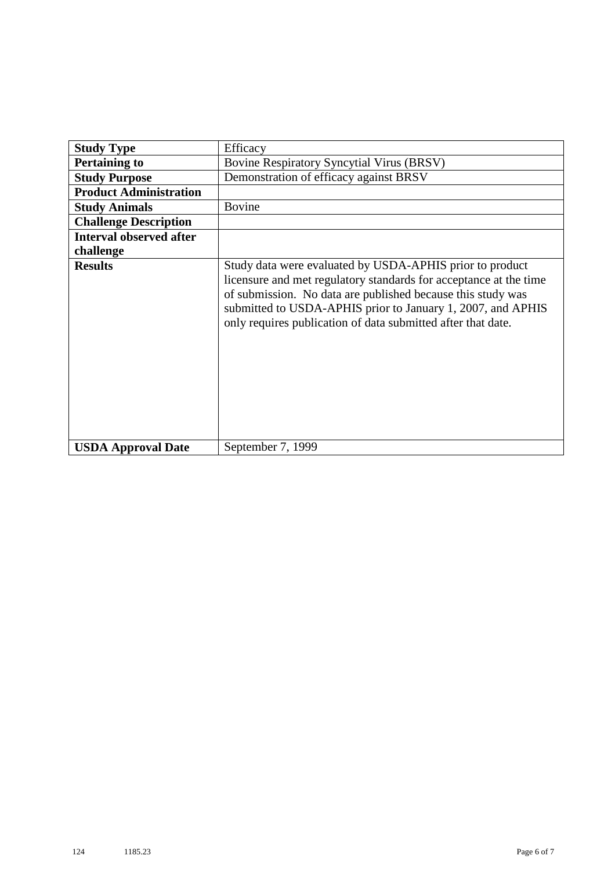| <b>Study Type</b>              | Efficacy                                                                                                                                                                                                                                                                                                                    |
|--------------------------------|-----------------------------------------------------------------------------------------------------------------------------------------------------------------------------------------------------------------------------------------------------------------------------------------------------------------------------|
| <b>Pertaining to</b>           | <b>Bovine Respiratory Syncytial Virus (BRSV)</b>                                                                                                                                                                                                                                                                            |
| <b>Study Purpose</b>           | Demonstration of efficacy against BRSV                                                                                                                                                                                                                                                                                      |
| <b>Product Administration</b>  |                                                                                                                                                                                                                                                                                                                             |
| <b>Study Animals</b>           | <b>Bovine</b>                                                                                                                                                                                                                                                                                                               |
| <b>Challenge Description</b>   |                                                                                                                                                                                                                                                                                                                             |
| <b>Interval observed after</b> |                                                                                                                                                                                                                                                                                                                             |
| challenge                      |                                                                                                                                                                                                                                                                                                                             |
| <b>Results</b>                 | Study data were evaluated by USDA-APHIS prior to product<br>licensure and met regulatory standards for acceptance at the time<br>of submission. No data are published because this study was<br>submitted to USDA-APHIS prior to January 1, 2007, and APHIS<br>only requires publication of data submitted after that date. |
| <b>USDA Approval Date</b>      | September 7, 1999                                                                                                                                                                                                                                                                                                           |